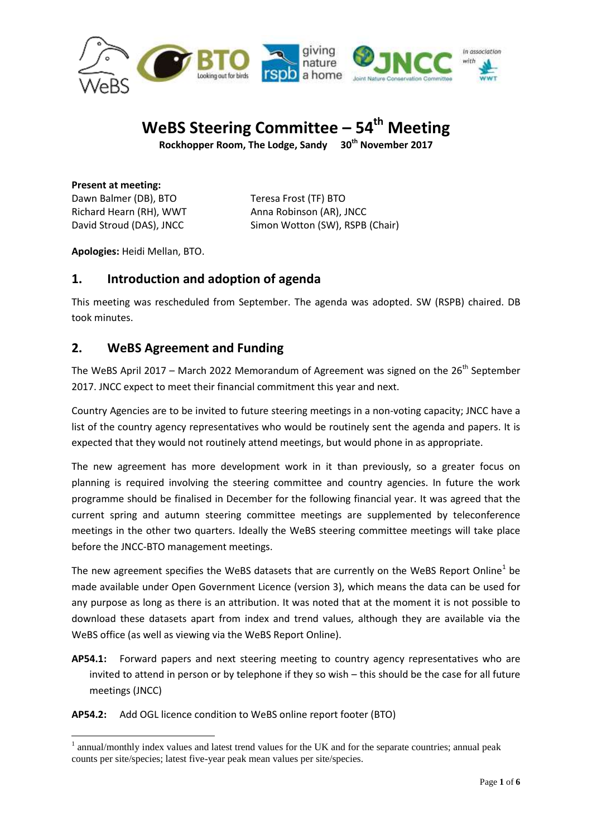

# **WeBS Steering Committee – 54 th Meeting**

**Rockhopper Room, The Lodge, Sandy 30th November 2017**

**Present at meeting:** Dawn Balmer (DB), BTO Teresa Frost (TF) BTO Richard Hearn (RH), WWT Anna Robinson (AR), JNCC

David Stroud (DAS), JNCC Simon Wotton (SW), RSPB (Chair)

**Apologies:** Heidi Mellan, BTO.

# **1. Introduction and adoption of agenda**

This meeting was rescheduled from September. The agenda was adopted. SW (RSPB) chaired. DB took minutes.

# **2. WeBS Agreement and Funding**

The WeBS April 2017 – March 2022 Memorandum of Agreement was signed on the  $26<sup>th</sup>$  September 2017. JNCC expect to meet their financial commitment this year and next.

Country Agencies are to be invited to future steering meetings in a non-voting capacity; JNCC have a list of the country agency representatives who would be routinely sent the agenda and papers. It is expected that they would not routinely attend meetings, but would phone in as appropriate.

The new agreement has more development work in it than previously, so a greater focus on planning is required involving the steering committee and country agencies. In future the work programme should be finalised in December for the following financial year. It was agreed that the current spring and autumn steering committee meetings are supplemented by teleconference meetings in the other two quarters. Ideally the WeBS steering committee meetings will take place before the JNCC-BTO management meetings.

The new agreement specifies the WeBS datasets that are currently on the WeBS Report Online<sup>1</sup> be made available under Open Government Licence (version 3), which means the data can be used for any purpose as long as there is an attribution. It was noted that at the moment it is not possible to download these datasets apart from index and trend values, although they are available via the WeBS office (as well as viewing via the WeBS Report Online).

**AP54.1:** Forward papers and next steering meeting to country agency representatives who are invited to attend in person or by telephone if they so wish – this should be the case for all future meetings (JNCC)

**AP54.2:** Add OGL licence condition to WeBS online report footer (BTO)

<sup>1</sup> <sup>1</sup> annual/monthly index values and latest trend values for the UK and for the separate countries; annual peak counts per site/species; latest five-year peak mean values per site/species.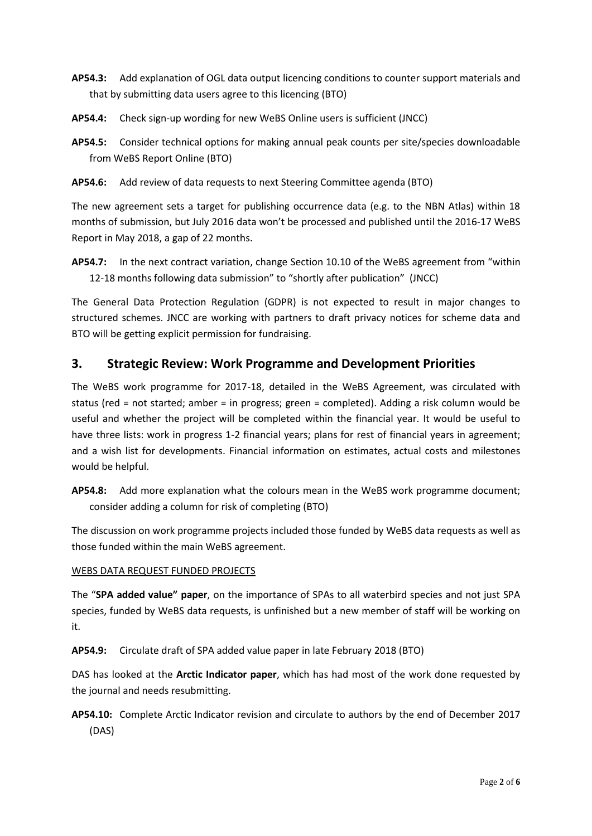- **AP54.3:** Add explanation of OGL data output licencing conditions to counter support materials and that by submitting data users agree to this licencing (BTO)
- **AP54.4:** Check sign-up wording for new WeBS Online users is sufficient (JNCC)
- **AP54.5:** Consider technical options for making annual peak counts per site/species downloadable from WeBS Report Online (BTO)
- **AP54.6:** Add review of data requests to next Steering Committee agenda (BTO)

The new agreement sets a target for publishing occurrence data (e.g. to the NBN Atlas) within 18 months of submission, but July 2016 data won't be processed and published until the 2016-17 WeBS Report in May 2018, a gap of 22 months.

**AP54.7:** In the next contract variation, change Section 10.10 of the WeBS agreement from "within 12-18 months following data submission" to "shortly after publication" (JNCC)

The General Data Protection Regulation (GDPR) is not expected to result in major changes to structured schemes. JNCC are working with partners to draft privacy notices for scheme data and BTO will be getting explicit permission for fundraising.

# **3. Strategic Review: Work Programme and Development Priorities**

The WeBS work programme for 2017-18, detailed in the WeBS Agreement, was circulated with status (red = not started; amber = in progress; green = completed). Adding a risk column would be useful and whether the project will be completed within the financial year. It would be useful to have three lists: work in progress 1-2 financial years; plans for rest of financial years in agreement; and a wish list for developments. Financial information on estimates, actual costs and milestones would be helpful.

**AP54.8:** Add more explanation what the colours mean in the WeBS work programme document; consider adding a column for risk of completing (BTO)

The discussion on work programme projects included those funded by WeBS data requests as well as those funded within the main WeBS agreement.

#### WEBS DATA REQUEST FUNDED PROJECTS

The "**SPA added value" paper**, on the importance of SPAs to all waterbird species and not just SPA species, funded by WeBS data requests, is unfinished but a new member of staff will be working on it.

**AP54.9:** Circulate draft of SPA added value paper in late February 2018 (BTO)

DAS has looked at the **Arctic Indicator paper**, which has had most of the work done requested by the journal and needs resubmitting.

## **AP54.10:** Complete Arctic Indicator revision and circulate to authors by the end of December 2017 (DAS)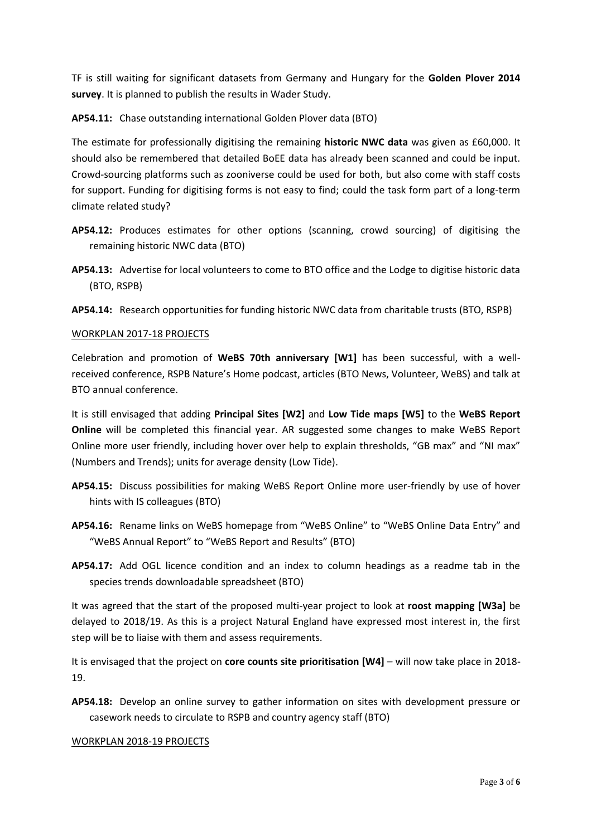TF is still waiting for significant datasets from Germany and Hungary for the **Golden Plover 2014 survey**. It is planned to publish the results in Wader Study.

**AP54.11:** Chase outstanding international Golden Plover data (BTO)

The estimate for professionally digitising the remaining **historic NWC data** was given as £60,000. It should also be remembered that detailed BoEE data has already been scanned and could be input. Crowd-sourcing platforms such as zooniverse could be used for both, but also come with staff costs for support. Funding for digitising forms is not easy to find; could the task form part of a long-term climate related study?

- **AP54.12:** Produces estimates for other options (scanning, crowd sourcing) of digitising the remaining historic NWC data (BTO)
- **AP54.13:** Advertise for local volunteers to come to BTO office and the Lodge to digitise historic data (BTO, RSPB)
- **AP54.14:** Research opportunities for funding historic NWC data from charitable trusts (BTO, RSPB)

#### WORKPLAN 2017-18 PROJECTS

Celebration and promotion of **WeBS 70th anniversary [W1]** has been successful, with a wellreceived conference, RSPB Nature's Home podcast, articles (BTO News, Volunteer, WeBS) and talk at BTO annual conference.

It is still envisaged that adding **Principal Sites [W2]** and **Low Tide maps [W5]** to the **WeBS Report Online** will be completed this financial year. AR suggested some changes to make WeBS Report Online more user friendly, including hover over help to explain thresholds, "GB max" and "NI max" (Numbers and Trends); units for average density (Low Tide).

- **AP54.15:** Discuss possibilities for making WeBS Report Online more user-friendly by use of hover hints with IS colleagues (BTO)
- **AP54.16:** Rename links on WeBS homepage from "WeBS Online" to "WeBS Online Data Entry" and "WeBS Annual Report" to "WeBS Report and Results" (BTO)
- **AP54.17:** Add OGL licence condition and an index to column headings as a readme tab in the species trends downloadable spreadsheet (BTO)

It was agreed that the start of the proposed multi-year project to look at **roost mapping [W3a]** be delayed to 2018/19. As this is a project Natural England have expressed most interest in, the first step will be to liaise with them and assess requirements.

It is envisaged that the project on **core counts site prioritisation [W4]** – will now take place in 2018- 19.

**AP54.18:** Develop an online survey to gather information on sites with development pressure or casework needs to circulate to RSPB and country agency staff (BTO)

#### WORKPLAN 2018-19 PROJECTS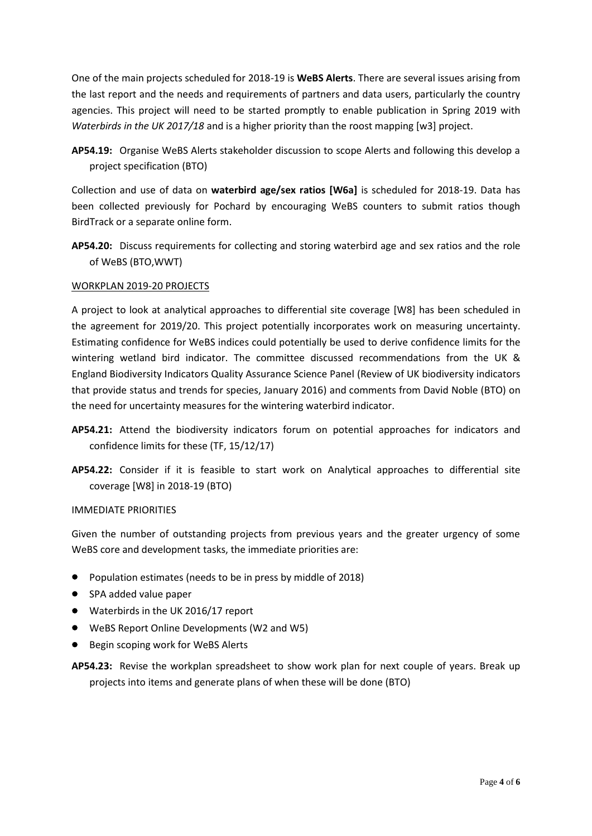One of the main projects scheduled for 2018-19 is **WeBS Alerts**. There are several issues arising from the last report and the needs and requirements of partners and data users, particularly the country agencies. This project will need to be started promptly to enable publication in Spring 2019 with *Waterbirds in the UK 2017/18* and is a higher priority than the roost mapping [w3] project.

**AP54.19:** Organise WeBS Alerts stakeholder discussion to scope Alerts and following this develop a project specification (BTO)

Collection and use of data on **waterbird age/sex ratios [W6a]** is scheduled for 2018-19. Data has been collected previously for Pochard by encouraging WeBS counters to submit ratios though BirdTrack or a separate online form.

**AP54.20:** Discuss requirements for collecting and storing waterbird age and sex ratios and the role of WeBS (BTO,WWT)

#### WORKPLAN 2019-20 PROJECTS

A project to look at analytical approaches to differential site coverage [W8] has been scheduled in the agreement for 2019/20. This project potentially incorporates work on measuring uncertainty. Estimating confidence for WeBS indices could potentially be used to derive confidence limits for the wintering wetland bird indicator. The committee discussed recommendations from the UK & England Biodiversity Indicators Quality Assurance Science Panel (Review of UK biodiversity indicators that provide status and trends for species, January 2016) and comments from David Noble (BTO) on the need for uncertainty measures for the wintering waterbird indicator.

- **AP54.21:** Attend the biodiversity indicators forum on potential approaches for indicators and confidence limits for these (TF, 15/12/17)
- **AP54.22:** Consider if it is feasible to start work on Analytical approaches to differential site coverage [W8] in 2018-19 (BTO)

#### IMMEDIATE PRIORITIES

Given the number of outstanding projects from previous years and the greater urgency of some WeBS core and development tasks, the immediate priorities are:

- Population estimates (needs to be in press by middle of 2018)
- SPA added value paper
- Waterbirds in the UK 2016/17 report
- WeBS Report Online Developments (W2 and W5)
- Begin scoping work for WeBS Alerts
- **AP54.23:** Revise the workplan spreadsheet to show work plan for next couple of years. Break up projects into items and generate plans of when these will be done (BTO)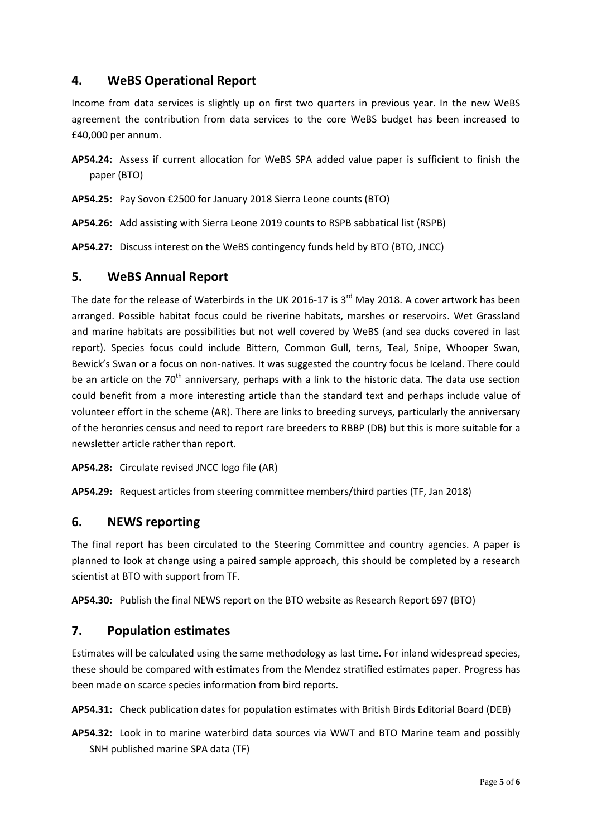# **4. WeBS Operational Report**

Income from data services is slightly up on first two quarters in previous year. In the new WeBS agreement the contribution from data services to the core WeBS budget has been increased to £40,000 per annum.

- **AP54.24:** Assess if current allocation for WeBS SPA added value paper is sufficient to finish the paper (BTO)
- **AP54.25:** Pay Sovon €2500 for January 2018 Sierra Leone counts (BTO)
- **AP54.26:** Add assisting with Sierra Leone 2019 counts to RSPB sabbatical list (RSPB)

**AP54.27:** Discuss interest on the WeBS contingency funds held by BTO (BTO, JNCC)

### **5. WeBS Annual Report**

The date for the release of Waterbirds in the UK 2016-17 is 3<sup>rd</sup> May 2018. A cover artwork has been arranged. Possible habitat focus could be riverine habitats, marshes or reservoirs. Wet Grassland and marine habitats are possibilities but not well covered by WeBS (and sea ducks covered in last report). Species focus could include Bittern, Common Gull, terns, Teal, Snipe, Whooper Swan, Bewick's Swan or a focus on non-natives. It was suggested the country focus be Iceland. There could be an article on the 70<sup>th</sup> anniversary, perhaps with a link to the historic data. The data use section could benefit from a more interesting article than the standard text and perhaps include value of volunteer effort in the scheme (AR). There are links to breeding surveys, particularly the anniversary of the heronries census and need to report rare breeders to RBBP (DB) but this is more suitable for a newsletter article rather than report.

**AP54.28:** Circulate revised JNCC logo file (AR)

**AP54.29:** Request articles from steering committee members/third parties (TF, Jan 2018)

### **6. NEWS reporting**

The final report has been circulated to the Steering Committee and country agencies. A paper is planned to look at change using a paired sample approach, this should be completed by a research scientist at BTO with support from TF.

**AP54.30:** Publish the final NEWS report on the BTO website as Research Report 697 (BTO)

### **7. Population estimates**

Estimates will be calculated using the same methodology as last time. For inland widespread species, these should be compared with estimates from the Mendez stratified estimates paper. Progress has been made on scarce species information from bird reports.

**AP54.31:** Check publication dates for population estimates with British Birds Editorial Board (DEB)

**AP54.32:** Look in to marine waterbird data sources via WWT and BTO Marine team and possibly SNH published marine SPA data (TF)